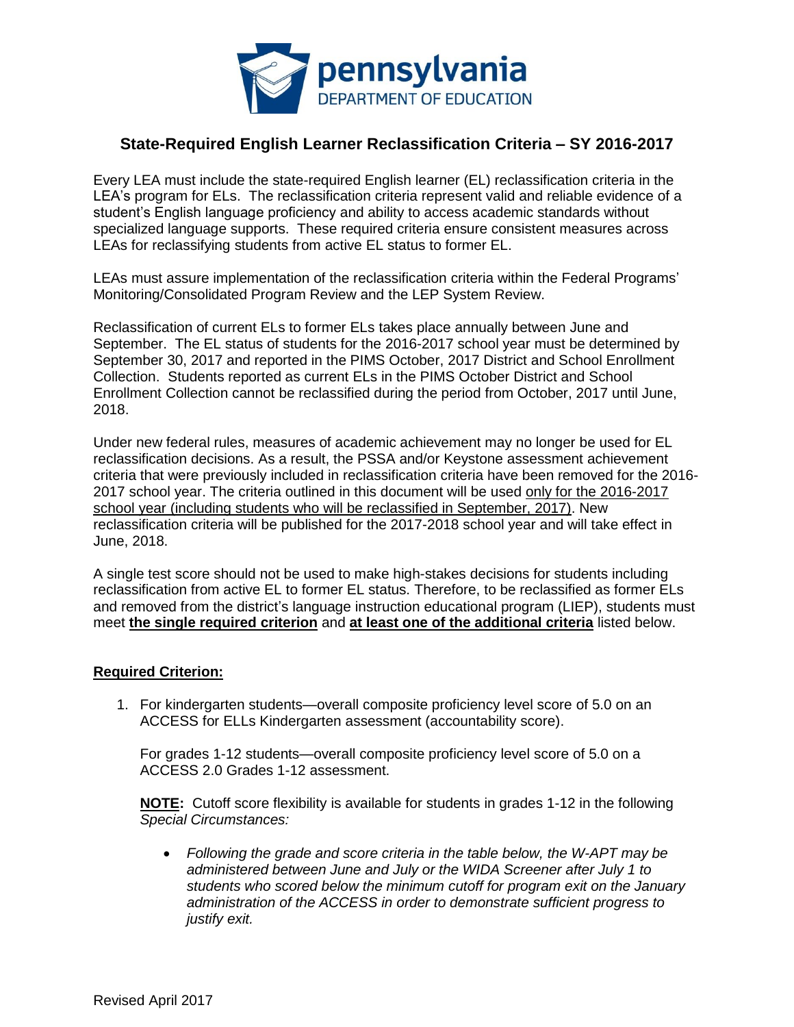

# **State-Required English Learner Reclassification Criteria – SY 2016-2017**

Every LEA must include the state-required English learner (EL) reclassification criteria in the LEA's program for ELs. The reclassification criteria represent valid and reliable evidence of a student's English language proficiency and ability to access academic standards without specialized language supports. These required criteria ensure consistent measures across LEAs for reclassifying students from active EL status to former EL.

LEAs must assure implementation of the reclassification criteria within the Federal Programs' Monitoring/Consolidated Program Review and the LEP System Review.

Reclassification of current ELs to former ELs takes place annually between June and September. The EL status of students for the 2016-2017 school year must be determined by September 30, 2017 and reported in the PIMS October, 2017 District and School Enrollment Collection. Students reported as current ELs in the PIMS October District and School Enrollment Collection cannot be reclassified during the period from October, 2017 until June, 2018.

Under new federal rules, measures of academic achievement may no longer be used for EL reclassification decisions. As a result, the PSSA and/or Keystone assessment achievement criteria that were previously included in reclassification criteria have been removed for the 2016- 2017 school year. The criteria outlined in this document will be used only for the 2016-2017 school year (including students who will be reclassified in September, 2017). New reclassification criteria will be published for the 2017-2018 school year and will take effect in June, 2018.

A single test score should not be used to make high-stakes decisions for students including reclassification from active EL to former EL status. Therefore, to be reclassified as former ELs and removed from the district's language instruction educational program (LIEP), students must meet **the single required criterion** and **at least one of the additional criteria** listed below.

#### **Required Criterion:**

1. For kindergarten students—overall composite proficiency level score of 5.0 on an ACCESS for ELLs Kindergarten assessment (accountability score).

For grades 1-12 students—overall composite proficiency level score of 5.0 on a ACCESS 2.0 Grades 1-12 assessment.

**NOTE:** Cutoff score flexibility is available for students in grades 1-12 in the following *Special Circumstances:* 

 *Following the grade and score criteria in the table below, the W-APT may be administered between June and July or the WIDA Screener after July 1 to students who scored below the minimum cutoff for program exit on the January administration of the ACCESS in order to demonstrate sufficient progress to justify exit.*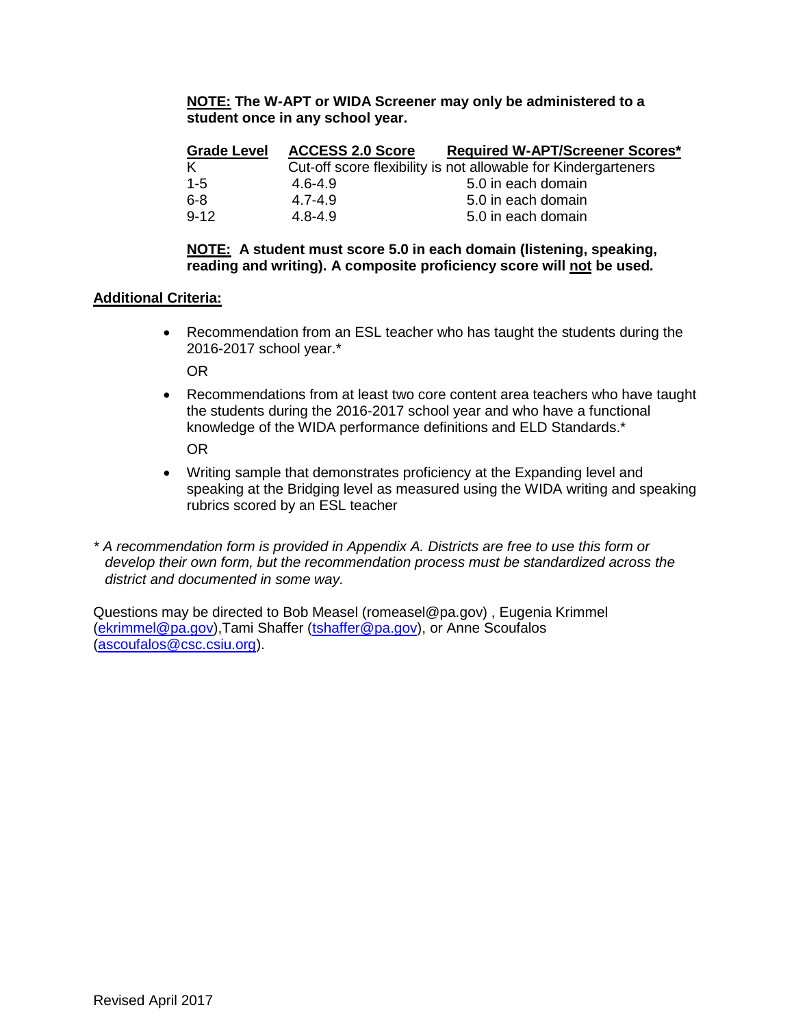#### **NOTE: The W-APT or WIDA Screener may only be administered to a student once in any school year.**

| <b>Grade Level</b> | <b>ACCESS 2.0 Score</b> | <b>Required W-APT/Screener Scores*</b>                         |
|--------------------|-------------------------|----------------------------------------------------------------|
| Κ                  |                         | Cut-off score flexibility is not allowable for Kindergarteners |
| $1 - 5$            | 4.6-4.9                 | 5.0 in each domain                                             |
| $6 - 8$            | $4.7 - 4.9$             | 5.0 in each domain                                             |
| $9 - 12$           | $4.8 - 4.9$             | 5.0 in each domain                                             |

#### **NOTE: A student must score 5.0 in each domain (listening, speaking, reading and writing). A composite proficiency score will not be used.**

### **Additional Criteria:**

 Recommendation from an ESL teacher who has taught the students during the 2016-2017 school year.\*

OR

 Recommendations from at least two core content area teachers who have taught the students during the 2016-2017 school year and who have a functional knowledge of the WIDA performance definitions and ELD Standards.\* OR

- Writing sample that demonstrates proficiency at the Expanding level and speaking at the Bridging level as measured using the WIDA writing and speaking rubrics scored by an ESL teacher
- *\* A recommendation form is provided in Appendix A. Districts are free to use this form or develop their own form, but the recommendation process must be standardized across the district and documented in some way.*

Questions may be directed to Bob Measel (romeasel@pa.gov) , Eugenia Krimmel [\(ekrimmel@pa.gov\)](mailto:ekrimmel@pa.gov),Tami Shaffer [\(tshaffer@pa.gov\)](mailto:tshaffer@pa.gov), or Anne Scoufalos [\(ascoufalos@csc.csiu.org\)](mailto:ascoufalos@csc.csiu.org).